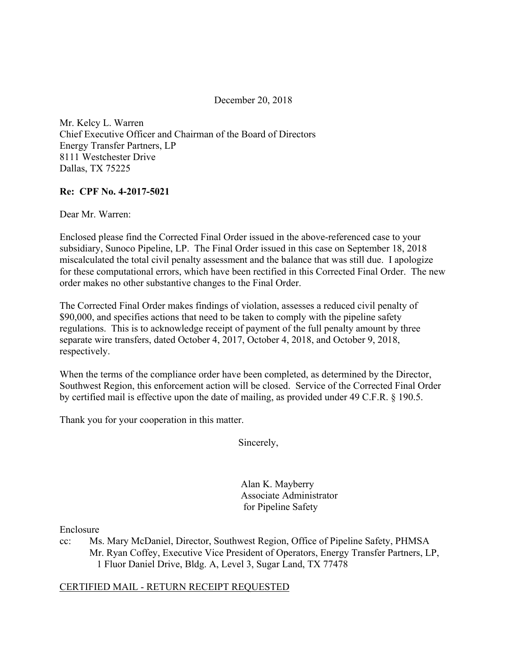December 20, 2018

Mr. Kelcy L. Warren Chief Executive Officer and Chairman of the Board of Directors Energy Transfer Partners, LP 8111 Westchester Drive Dallas, TX 75225

#### **Re: CPF No. 4-2017-5021**

Dear Mr. Warren:

Enclosed please find the Corrected Final Order issued in the above-referenced case to your subsidiary, Sunoco Pipeline, LP. The Final Order issued in this case on September 18, 2018 miscalculated the total civil penalty assessment and the balance that was still due. I apologize for these computational errors, which have been rectified in this Corrected Final Order. The new order makes no other substantive changes to the Final Order.

The Corrected Final Order makes findings of violation, assesses a reduced civil penalty of \$90,000, and specifies actions that need to be taken to comply with the pipeline safety regulations. This is to acknowledge receipt of payment of the full penalty amount by three separate wire transfers, dated October 4, 2017, October 4, 2018, and October 9, 2018, respectively.

When the terms of the compliance order have been completed, as determined by the Director, Southwest Region, this enforcement action will be closed. Service of the Corrected Final Order by certified mail is effective upon the date of mailing, as provided under 49 C.F.R. § 190.5.

Thank you for your cooperation in this matter.

Sincerely,

 Alan K. Mayberry Associate Administrator for Pipeline Safety

Enclosure

cc: Ms. Mary McDaniel, Director, Southwest Region, Office of Pipeline Safety, PHMSA Mr. Ryan Coffey, Executive Vice President of Operators, Energy Transfer Partners, LP, 1 Fluor Daniel Drive, Bldg. A, Level 3, Sugar Land, TX 77478

#### CERTIFIED MAIL - RETURN RECEIPT REQUESTED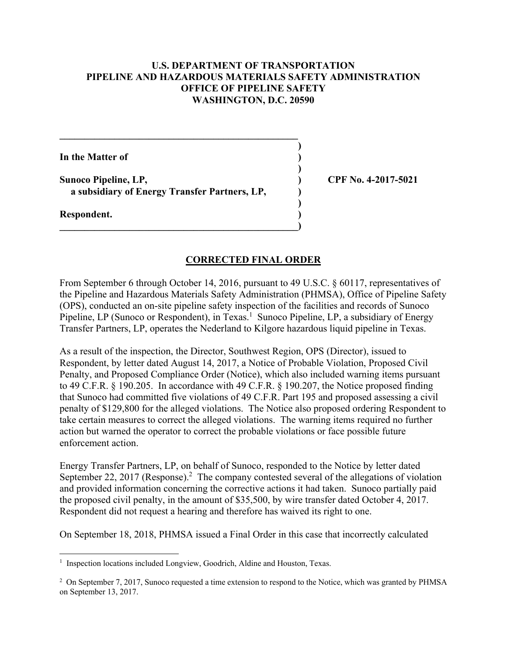### **U.S. DEPARTMENT OF TRANSPORTATION PIPELINE AND HAZARDOUS MATERIALS SAFETY ADMINISTRATION OFFICE OF PIPELINE SAFETY WASHINGTON, D.C. 20590**

 **)**

 **)**

 **)**

**In the Matter of )**

**Sunoco Pipeline, LP, ) CPF No. 4-2017-5021 a subsidiary of Energy Transfer Partners, LP, )** 

 $\mathcal{L} = \{ \mathcal{L} \mathcal{L} \mathcal{L} \mathcal{L} \mathcal{L} \mathcal{L} \mathcal{L} \mathcal{L} \mathcal{L} \mathcal{L} \mathcal{L} \mathcal{L} \mathcal{L} \mathcal{L} \mathcal{L} \mathcal{L} \mathcal{L} \mathcal{L} \mathcal{L} \mathcal{L} \mathcal{L} \mathcal{L} \mathcal{L} \mathcal{L} \mathcal{L} \mathcal{L} \mathcal{L} \mathcal{L} \mathcal{L} \mathcal{L} \mathcal{L} \mathcal{L} \mathcal{L} \mathcal{L} \mathcal{L} \$ 

**\_\_\_\_\_\_\_\_\_\_\_\_\_\_\_\_\_\_\_\_\_\_\_\_\_\_\_\_\_\_\_\_\_\_\_\_\_\_\_\_\_\_\_\_\_\_\_\_)** 

**Respondent. )** 

#### **CORRECTED FINAL ORDER**

From September 6 through October 14, 2016, pursuant to 49 U.S.C. § 60117, representatives of the Pipeline and Hazardous Materials Safety Administration (PHMSA), Office of Pipeline Safety (OPS), conducted an on-site pipeline safety inspection of the facilities and records of Sunoco Pipeline, LP (Sunoco or Respondent), in Texas.<sup>1</sup> Sunoco Pipeline, LP, a subsidiary of Energy Transfer Partners, LP, operates the Nederland to Kilgore hazardous liquid pipeline in Texas.

As a result of the inspection, the Director, Southwest Region, OPS (Director), issued to Respondent, by letter dated August 14, 2017, a Notice of Probable Violation, Proposed Civil Penalty, and Proposed Compliance Order (Notice), which also included warning items pursuant to 49 C.F.R. § 190.205. In accordance with 49 C.F.R. § 190.207, the Notice proposed finding that Sunoco had committed five violations of 49 C.F.R. Part 195 and proposed assessing a civil penalty of \$129,800 for the alleged violations. The Notice also proposed ordering Respondent to take certain measures to correct the alleged violations. The warning items required no further action but warned the operator to correct the probable violations or face possible future enforcement action.

Energy Transfer Partners, LP, on behalf of Sunoco, responded to the Notice by letter dated September 22, 2017 (Response).<sup>2</sup> The company contested several of the allegations of violation and provided information concerning the corrective actions it had taken. Sunoco partially paid the proposed civil penalty, in the amount of \$35,500, by wire transfer dated October 4, 2017. Respondent did not request a hearing and therefore has waived its right to one.

On September 18, 2018, PHMSA issued a Final Order in this case that incorrectly calculated

**<sup>1</sup>** Inspection locations included Longview, Goodrich, Aldine and Houston, Texas.

<sup>&</sup>lt;sup>2</sup> On September 7, 2017, Sunoco requested a time extension to respond to the Notice, which was granted by PHMSA on September 13, 2017.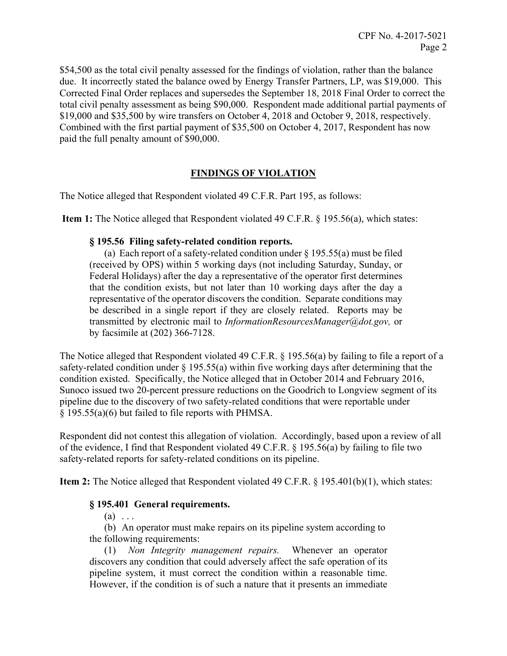\$54,500 as the total civil penalty assessed for the findings of violation, rather than the balance due. It incorrectly stated the balance owed by Energy Transfer Partners, LP, was \$19,000. This Corrected Final Order replaces and supersedes the September 18, 2018 Final Order to correct the total civil penalty assessment as being \$90,000. Respondent made additional partial payments of \$19,000 and \$35,500 by wire transfers on October 4, 2018 and October 9, 2018, respectively. Combined with the first partial payment of \$35,500 on October 4, 2017, Respondent has now paid the full penalty amount of \$90,000.

# **FINDINGS OF VIOLATION**

The Notice alleged that Respondent violated 49 C.F.R. Part 195, as follows:

**Item 1:** The Notice alleged that Respondent violated 49 C.F.R. § 195.56(a), which states:

## **§ 195.56 Filing safety-related condition reports.**

 (a) Each report of a safety-related condition under § 195.55(a) must be filed (received by OPS) within 5 working days (not including Saturday, Sunday, or Federal Holidays) after the day a representative of the operator first determines that the condition exists, but not later than 10 working days after the day a representative of the operator discovers the condition. Separate conditions may be described in a single report if they are closely related. Reports may be transmitted by electronic mail to *InformationResourcesManager@dot.gov,* or by facsimile at (202) 366-7128.

The Notice alleged that Respondent violated 49 C.F.R. § 195.56(a) by failing to file a report of a safety-related condition under  $\S$  195.55(a) within five working days after determining that the condition existed. Specifically, the Notice alleged that in October 2014 and February 2016, Sunoco issued two 20-percent pressure reductions on the Goodrich to Longview segment of its pipeline due to the discovery of two safety-related conditions that were reportable under § 195.55(a)(6) but failed to file reports with PHMSA.

Respondent did not contest this allegation of violation. Accordingly, based upon a review of all of the evidence, I find that Respondent violated 49 C.F.R. § 195.56(a) by failing to file two safety-related reports for safety-related conditions on its pipeline.

**Item 2:** The Notice alleged that Respondent violated 49 C.F.R. § 195.401(b)(1), which states:

# **§ 195.401 General requirements.**

 $(a) \ldots$ 

(b) An operator must make repairs on its pipeline system according to the following requirements:

(1) *Non Integrity management repairs.* Whenever an operator discovers any condition that could adversely affect the safe operation of its pipeline system, it must correct the condition within a reasonable time. However, if the condition is of such a nature that it presents an immediate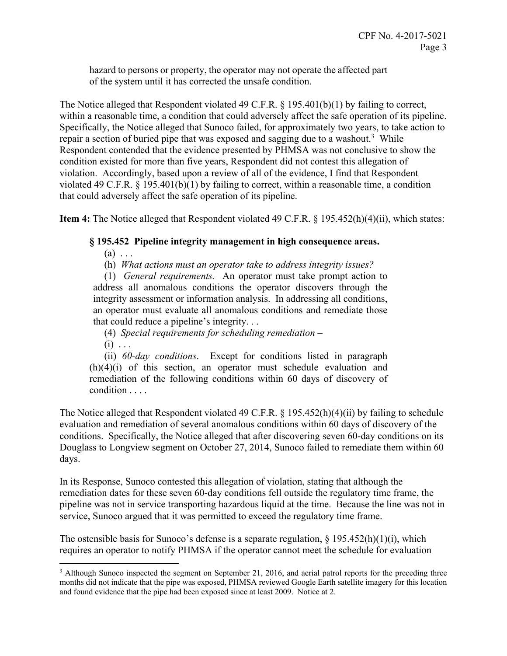hazard to persons or property, the operator may not operate the affected part of the system until it has corrected the unsafe condition.

The Notice alleged that Respondent violated 49 C.F.R. § 195.401(b)(1) by failing to correct, within a reasonable time, a condition that could adversely affect the safe operation of its pipeline. Specifically, the Notice alleged that Sunoco failed, for approximately two years, to take action to repair a section of buried pipe that was exposed and sagging due to a washout.<sup>3</sup> While Respondent contended that the evidence presented by PHMSA was not conclusive to show the condition existed for more than five years, Respondent did not contest this allegation of violation. Accordingly, based upon a review of all of the evidence, I find that Respondent violated 49 C.F.R. § 195.401(b)(1) by failing to correct, within a reasonable time, a condition that could adversely affect the safe operation of its pipeline.

**Item 4:** The Notice alleged that Respondent violated 49 C.F.R. § 195.452(h)(4)(ii), which states:

## **§ 195.452 Pipeline integrity management in high consequence areas.**

 $(a) \ldots$ 

(h) *What actions must an operator take to address integrity issues?* 

 (1) *General requirements.* An operator must take prompt action to address all anomalous conditions the operator discovers through the integrity assessment or information analysis. In addressing all conditions, an operator must evaluate all anomalous conditions and remediate those that could reduce a pipeline's integrity. . .

- (4) *Special requirements for scheduling remediation*
- $(i) \ldots$

1

(ii) *60-day conditions*. Except for conditions listed in paragraph  $(h)(4)(i)$  of this section, an operator must schedule evaluation and remediation of the following conditions within 60 days of discovery of condition . . . .

The Notice alleged that Respondent violated 49 C.F.R.  $\S$  195.452(h)(4)(ii) by failing to schedule evaluation and remediation of several anomalous conditions within 60 days of discovery of the conditions. Specifically, the Notice alleged that after discovering seven 60-day conditions on its Douglass to Longview segment on October 27, 2014, Sunoco failed to remediate them within 60 days.

In its Response, Sunoco contested this allegation of violation, stating that although the remediation dates for these seven 60-day conditions fell outside the regulatory time frame, the pipeline was not in service transporting hazardous liquid at the time. Because the line was not in service, Sunoco argued that it was permitted to exceed the regulatory time frame.

The ostensible basis for Sunoco's defense is a separate regulation,  $\S 195.452(h)(1)(i)$ , which requires an operator to notify PHMSA if the operator cannot meet the schedule for evaluation

 $3$  Although Sunoco inspected the segment on September 21, 2016, and aerial patrol reports for the preceding three months did not indicate that the pipe was exposed, PHMSA reviewed Google Earth satellite imagery for this location and found evidence that the pipe had been exposed since at least 2009. Notice at 2.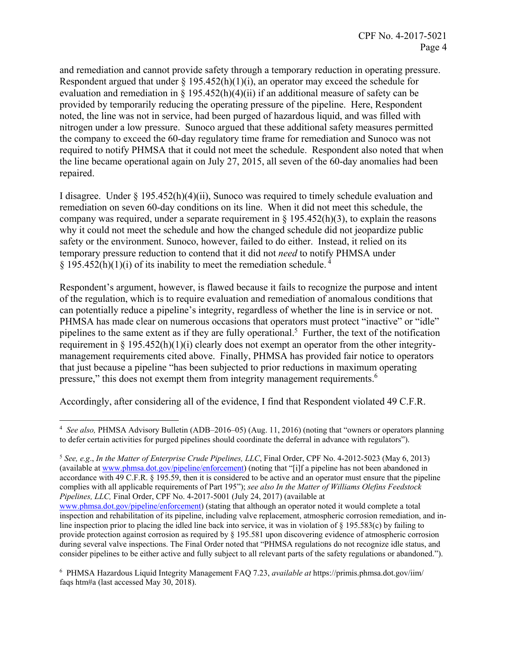and remediation and cannot provide safety through a temporary reduction in operating pressure. Respondent argued that under  $\S$  195.452(h)(1)(i), an operator may exceed the schedule for evaluation and remediation in § 195.452(h)(4)(ii) if an additional measure of safety can be provided by temporarily reducing the operating pressure of the pipeline. Here, Respondent noted, the line was not in service, had been purged of hazardous liquid, and was filled with nitrogen under a low pressure. Sunoco argued that these additional safety measures permitted the company to exceed the 60-day regulatory time frame for remediation and Sunoco was not required to notify PHMSA that it could not meet the schedule. Respondent also noted that when the line became operational again on July 27, 2015, all seven of the 60-day anomalies had been repaired.

I disagree. Under § 195.452(h)(4)(ii), Sunoco was required to timely schedule evaluation and remediation on seven 60-day conditions on its line. When it did not meet this schedule, the company was required, under a separate requirement in  $\S$  195.452(h)(3), to explain the reasons why it could not meet the schedule and how the changed schedule did not jeopardize public safety or the environment. Sunoco, however, failed to do either. Instead, it relied on its temporary pressure reduction to contend that it did not *need* to notify PHMSA under  $\S$  195.452(h)(1)(i) of its inability to meet the remediation schedule.<sup>4</sup>

Respondent's argument, however, is flawed because it fails to recognize the purpose and intent of the regulation, which is to require evaluation and remediation of anomalous conditions that can potentially reduce a pipeline's integrity, regardless of whether the line is in service or not. PHMSA has made clear on numerous occasions that operators must protect "inactive" or "idle" pipelines to the same extent as if they are fully operational.<sup>5</sup> Further, the text of the notification requirement in § 195.452(h)(1)(i) clearly does not exempt an operator from the other integritymanagement requirements cited above. Finally, PHMSA has provided fair notice to operators that just because a pipeline "has been subjected to prior reductions in maximum operating pressure," this does not exempt them from integrity management requirements.6

Accordingly, after considering all of the evidence, I find that Respondent violated 49 C.F.R.

<sup>5</sup> *See, e.g*., *In the Matter of Enterprise Crude Pipelines, LLC*, Final Order, CPF No. 4-2012-5023 (May 6, 2013) (available at www.phmsa.dot.gov/pipeline/enforcement) (noting that "[i]f a pipeline has not been abandoned in accordance with 49 C.F.R. § 195.59, then it is considered to be active and an operator must ensure that the pipeline complies with all applicable requirements of Part 195"); *see also In the Matter of Williams Olefins Feedstock Pipelines, LLC,* Final Order, CPF No. 4-2017-5001 (July 24, 2017) (available at

6 PHMSA Hazardous Liquid Integrity Management FAQ 7.23, *available at* https://primis.phmsa.dot.gov/iim/ faqs htm#a (last accessed May 30, 2018).

 $\overline{a}$  <sup>4</sup> *See also,* PHMSA Advisory Bulletin (ADB–2016–05) (Aug. 11, 2016) (noting that "owners or operators planning to defer certain activities for purged pipelines should coordinate the deferral in advance with regulators").

www.phmsa.dot.gov/pipeline/enforcement) (stating that although an operator noted it would complete a total inspection and rehabilitation of its pipeline, including valve replacement, atmospheric corrosion remediation, and in- provide protection against corrosion as required by § 195.581 upon discovering evidence of atmospheric corrosion line inspection prior to placing the idled line back into service, it was in violation of § 195.583(c) by failing to during several valve inspections. The Final Order noted that "PHMSA regulations do not recognize idle status, and consider pipelines to be either active and fully subject to all relevant parts of the safety regulations or abandoned.").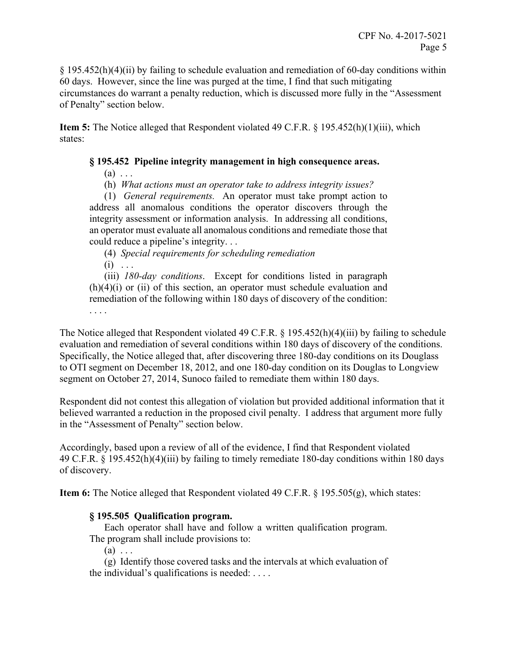§ 195.452(h)(4)(ii) by failing to schedule evaluation and remediation of 60-day conditions within 60 days. However, since the line was purged at the time, I find that such mitigating circumstances do warrant a penalty reduction, which is discussed more fully in the "Assessment of Penalty" section below.

**Item 5:** The Notice alleged that Respondent violated 49 C.F.R. § 195.452(h)(1)(iii), which states:

### **§ 195.452 Pipeline integrity management in high consequence areas.**

 $(a) \ldots$ 

. . . .

(h) *What actions must an operator take to address integrity issues?* 

 (1) *General requirements.* An operator must take prompt action to address all anomalous conditions the operator discovers through the integrity assessment or information analysis. In addressing all conditions, an operator must evaluate all anomalous conditions and remediate those that could reduce a pipeline's integrity. . .

(4) *Special requirements for scheduling remediation*   $(i) \ldots$ 

 (iii) *180-day conditions*. Except for conditions listed in paragraph  $(h)(4)(i)$  or  $(ii)$  of this section, an operator must schedule evaluation and remediation of the following within 180 days of discovery of the condition:

 evaluation and remediation of several conditions within 180 days of discovery of the conditions. The Notice alleged that Respondent violated 49 C.F.R. § 195.452(h)(4)(iii) by failing to schedule Specifically, the Notice alleged that, after discovering three 180-day conditions on its Douglass to OTI segment on December 18, 2012, and one 180-day condition on its Douglas to Longview segment on October 27, 2014, Sunoco failed to remediate them within 180 days.

Respondent did not contest this allegation of violation but provided additional information that it believed warranted a reduction in the proposed civil penalty. I address that argument more fully in the "Assessment of Penalty" section below.

Accordingly, based upon a review of all of the evidence, I find that Respondent violated 49 C.F.R. § 195.452(h)(4)(iii) by failing to timely remediate 180-day conditions within 180 days of discovery.

**Item 6:** The Notice alleged that Respondent violated 49 C.F.R. § 195.505(g), which states:

#### **§ 195.505 Qualification program.**

Each operator shall have and follow a written qualification program. The program shall include provisions to:

 $(a) \ldots$ 

 (g) Identify those covered tasks and the intervals at which evaluation of the individual's qualifications is needed: . . . .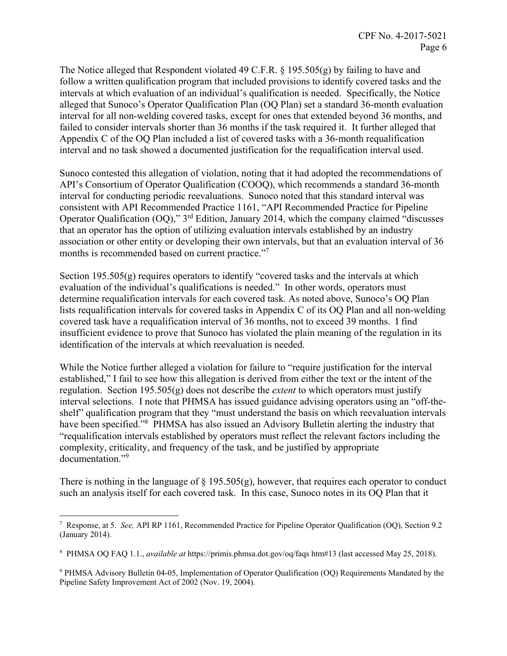The Notice alleged that Respondent violated 49 C.F.R. § 195.505(g) by failing to have and follow a written qualification program that included provisions to identify covered tasks and the intervals at which evaluation of an individual's qualification is needed. Specifically, the Notice alleged that Sunoco's Operator Qualification Plan (OQ Plan) set a standard 36-month evaluation interval for all non-welding covered tasks, except for ones that extended beyond 36 months, and failed to consider intervals shorter than 36 months if the task required it. It further alleged that Appendix C of the OQ Plan included a list of covered tasks with a 36-month requalification interval and no task showed a documented justification for the requalification interval used.

Sunoco contested this allegation of violation, noting that it had adopted the recommendations of API's Consortium of Operator Qualification (COOQ), which recommends a standard 36-month interval for conducting periodic reevaluations. Sunoco noted that this standard interval was consistent with API Recommended Practice 1161, "API Recommended Practice for Pipeline Operator Qualification (OQ)," 3rd Edition, January 2014, which the company claimed "discusses that an operator has the option of utilizing evaluation intervals established by an industry association or other entity or developing their own intervals, but that an evaluation interval of 36 months is recommended based on current practice."

Section  $195.505(g)$  requires operators to identify "covered tasks and the intervals at which evaluation of the individual's qualifications is needed." In other words, operators must determine requalification intervals for each covered task. As noted above, Sunoco's OQ Plan lists requalification intervals for covered tasks in Appendix C of its OQ Plan and all non-welding covered task have a requalification interval of 36 months, not to exceed 39 months. I find insufficient evidence to prove that Sunoco has violated the plain meaning of the regulation in its identification of the intervals at which reevaluation is needed.

While the Notice further alleged a violation for failure to "require justification for the interval established," I fail to see how this allegation is derived from either the text or the intent of the regulation. Section 195.505(g) does not describe the *extent* to which operators must justify interval selections. I note that PHMSA has issued guidance advising operators using an "off-theshelf" qualification program that they "must understand the basis on which reevaluation intervals have been specified."<sup>8</sup> PHMSA has also issued an Advisory Bulletin alerting the industry that "requalification intervals established by operators must reflect the relevant factors including the complexity, criticality, and frequency of the task, and be justified by appropriate documentation."<sup>9</sup>

There is nothing in the language of  $\S$  195.505(g), however, that requires each operator to conduct such an analysis itself for each covered task. In this case, Sunoco notes in its OQ Plan that it

 $\overline{a}$ 

<sup>7</sup> Response, at 5. *See,* API RP 1161, Recommended Practice for Pipeline Operator Qualification (OQ), Section 9.2 (January 2014).

<sup>8</sup> PHMSA OQ FAQ 1.1., *available at* https://primis.phmsa.dot.gov/oq/faqs htm#13 (last accessed May 25, 2018).

<sup>&</sup>lt;sup>9</sup> PHMSA Advisory Bulletin 04-05, Implementation of Operator Qualification (OQ) Requirements Mandated by the Pipeline Safety Improvement Act of 2002 (Nov. 19, 2004).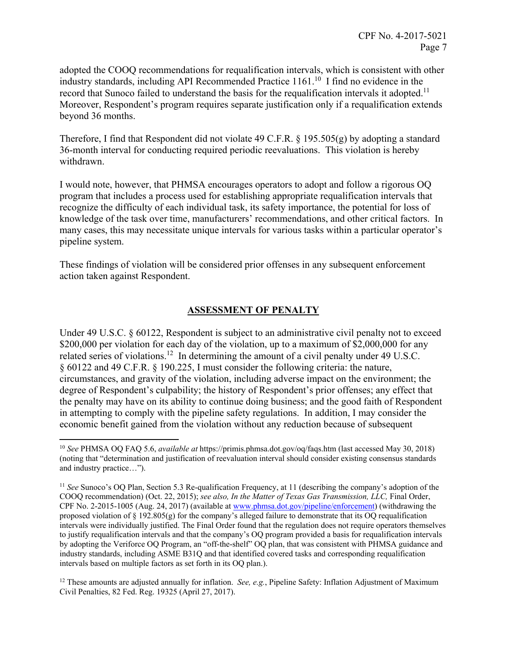record that Sunoco failed to understand the basis for the requalification intervals it adopted.<sup>11</sup> adopted the COOQ recommendations for requalification intervals, which is consistent with other industry standards, including API Recommended Practice 1161.10 I find no evidence in the Moreover, Respondent's program requires separate justification only if a requalification extends beyond 36 months.

Therefore, I find that Respondent did not violate 49 C.F.R. § 195.505(g) by adopting a standard 36-month interval for conducting required periodic reevaluations. This violation is hereby withdrawn.

I would note, however, that PHMSA encourages operators to adopt and follow a rigorous OQ program that includes a process used for establishing appropriate requalification intervals that recognize the difficulty of each individual task, its safety importance, the potential for loss of knowledge of the task over time, manufacturers' recommendations, and other critical factors. In many cases, this may necessitate unique intervals for various tasks within a particular operator's pipeline system.

These findings of violation will be considered prior offenses in any subsequent enforcement action taken against Respondent.

## **ASSESSMENT OF PENALTY**

Under 49 U.S.C. § 60122, Respondent is subject to an administrative civil penalty not to exceed \$200,000 per violation for each day of the violation, up to a maximum of \$2,000,000 for any related series of violations.<sup>12</sup> In determining the amount of a civil penalty under 49 U.S.C. § 60122 and 49 C.F.R. § 190.225, I must consider the following criteria: the nature, circumstances, and gravity of the violation, including adverse impact on the environment; the degree of Respondent's culpability; the history of Respondent's prior offenses; any effect that the penalty may have on its ability to continue doing business; and the good faith of Respondent in attempting to comply with the pipeline safety regulations. In addition, I may consider the economic benefit gained from the violation without any reduction because of subsequent

 $\overline{a}$ 

<sup>10</sup> *See* PHMSA OQ FAQ 5.6, *available at* https://primis.phmsa.dot.gov/oq/faqs.htm (last accessed May 30, 2018) (noting that "determination and justification of reevaluation interval should consider existing consensus standards and industry practice…").

 COOQ recommendation) (Oct. 22, 2015); *see also, In the Matter of Texas Gas Transmission, LLC,* Final Order, by adopting the Veriforce OQ Program, an "off-the-shelf" OQ plan, that was consistent with PHMSA guidance and <sup>11</sup> *See* Sunoco's OQ Plan, Section 5.3 Re-qualification Frequency, at 11 (describing the company's adoption of the CPF No. 2-2015-1005 (Aug. 24, 2017) (available at www.phmsa.dot.gov/pipeline/enforcement) (withdrawing the proposed violation of § 192.805(g) for the company's alleged failure to demonstrate that its OQ requalification intervals were individually justified. The Final Order found that the regulation does not require operators themselves to justify requalification intervals and that the company's OQ program provided a basis for requalification intervals industry standards, including ASME B31Q and that identified covered tasks and corresponding requalification intervals based on multiple factors as set forth in its OQ plan.).

<sup>&</sup>lt;sup>12</sup> These amounts are adjusted annually for inflation. *See, e.g.*, Pipeline Safety: Inflation Adjustment of Maximum Civil Penalties, 82 Fed. Reg. 19325 (April 27, 2017).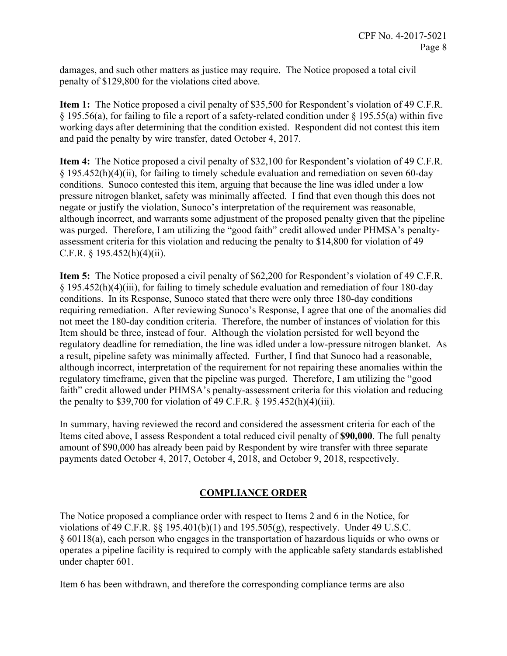damages, and such other matters as justice may require. The Notice proposed a total civil penalty of \$129,800 for the violations cited above.

**Item 1:** The Notice proposed a civil penalty of \$35,500 for Respondent's violation of 49 C.F.R. § 195.56(a), for failing to file a report of a safety-related condition under § 195.55(a) within five working days after determining that the condition existed. Respondent did not contest this item and paid the penalty by wire transfer, dated October 4, 2017.

**Item 4:** The Notice proposed a civil penalty of \$32,100 for Respondent's violation of 49 C.F.R. § 195.452(h)(4)(ii), for failing to timely schedule evaluation and remediation on seven 60-day conditions. Sunoco contested this item, arguing that because the line was idled under a low pressure nitrogen blanket, safety was minimally affected. I find that even though this does not negate or justify the violation, Sunoco's interpretation of the requirement was reasonable, although incorrect, and warrants some adjustment of the proposed penalty given that the pipeline was purged. Therefore, I am utilizing the "good faith" credit allowed under PHMSA's penaltyassessment criteria for this violation and reducing the penalty to \$14,800 for violation of 49 C.F.R.  $\S$  195.452(h)(4)(ii).

**Item 5:** The Notice proposed a civil penalty of \$62,200 for Respondent's violation of 49 C.F.R. § 195.452(h)(4)(iii), for failing to timely schedule evaluation and remediation of four 180-day conditions. In its Response, Sunoco stated that there were only three 180-day conditions requiring remediation. After reviewing Sunoco's Response, I agree that one of the anomalies did not meet the 180-day condition criteria. Therefore, the number of instances of violation for this Item should be three, instead of four. Although the violation persisted for well beyond the regulatory deadline for remediation, the line was idled under a low-pressure nitrogen blanket. As a result, pipeline safety was minimally affected. Further, I find that Sunoco had a reasonable, although incorrect, interpretation of the requirement for not repairing these anomalies within the regulatory timeframe, given that the pipeline was purged. Therefore, I am utilizing the "good faith" credit allowed under PHMSA's penalty-assessment criteria for this violation and reducing the penalty to \$39,700 for violation of 49 C.F.R.  $\S$  195.452(h)(4)(iii).

In summary, having reviewed the record and considered the assessment criteria for each of the Items cited above, I assess Respondent a total reduced civil penalty of **\$90,000**. The full penalty amount of \$90,000 has already been paid by Respondent by wire transfer with three separate payments dated October 4, 2017, October 4, 2018, and October 9, 2018, respectively.

## **COMPLIANCE ORDER**

The Notice proposed a compliance order with respect to Items 2 and 6 in the Notice, for violations of 49 C.F.R.  $\S$  195.401(b)(1) and 195.505(g), respectively. Under 49 U.S.C. § 60118(a), each person who engages in the transportation of hazardous liquids or who owns or operates a pipeline facility is required to comply with the applicable safety standards established under chapter 601.

Item 6 has been withdrawn, and therefore the corresponding compliance terms are also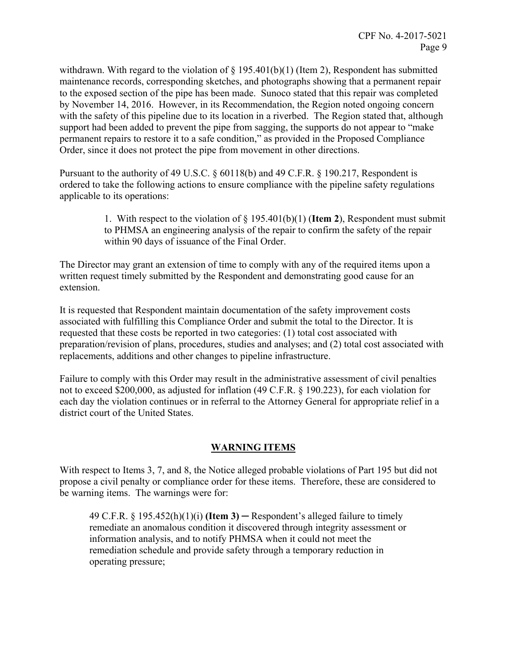withdrawn. With regard to the violation of  $\S 195.401(b)(1)$  (Item 2), Respondent has submitted maintenance records, corresponding sketches, and photographs showing that a permanent repair to the exposed section of the pipe has been made. Sunoco stated that this repair was completed by November 14, 2016. However, in its Recommendation, the Region noted ongoing concern with the safety of this pipeline due to its location in a riverbed. The Region stated that, although support had been added to prevent the pipe from sagging, the supports do not appear to "make permanent repairs to restore it to a safe condition," as provided in the Proposed Compliance Order, since it does not protect the pipe from movement in other directions.

Pursuant to the authority of 49 U.S.C. § 60118(b) and 49 C.F.R. § 190.217, Respondent is ordered to take the following actions to ensure compliance with the pipeline safety regulations applicable to its operations:

> 1. With respect to the violation of § 195.401(b)(1) (**Item 2**), Respondent must submit to PHMSA an engineering analysis of the repair to confirm the safety of the repair within 90 days of issuance of the Final Order.

The Director may grant an extension of time to comply with any of the required items upon a written request timely submitted by the Respondent and demonstrating good cause for an extension.

It is requested that Respondent maintain documentation of the safety improvement costs associated with fulfilling this Compliance Order and submit the total to the Director. It is requested that these costs be reported in two categories: (1) total cost associated with preparation/revision of plans, procedures, studies and analyses; and (2) total cost associated with replacements, additions and other changes to pipeline infrastructure.

Failure to comply with this Order may result in the administrative assessment of civil penalties not to exceed \$200,000, as adjusted for inflation (49 C.F.R. § 190.223), for each violation for each day the violation continues or in referral to the Attorney General for appropriate relief in a district court of the United States.

## **WARNING ITEMS**

With respect to Items 3, 7, and 8, the Notice alleged probable violations of Part 195 but did not propose a civil penalty or compliance order for these items. Therefore, these are considered to be warning items. The warnings were for:

49 C.F.R.  $\S$  195.452(h)(1)(i) **(Item 3)** — Respondent's alleged failure to timely remediate an anomalous condition it discovered through integrity assessment or information analysis, and to notify PHMSA when it could not meet the remediation schedule and provide safety through a temporary reduction in operating pressure;